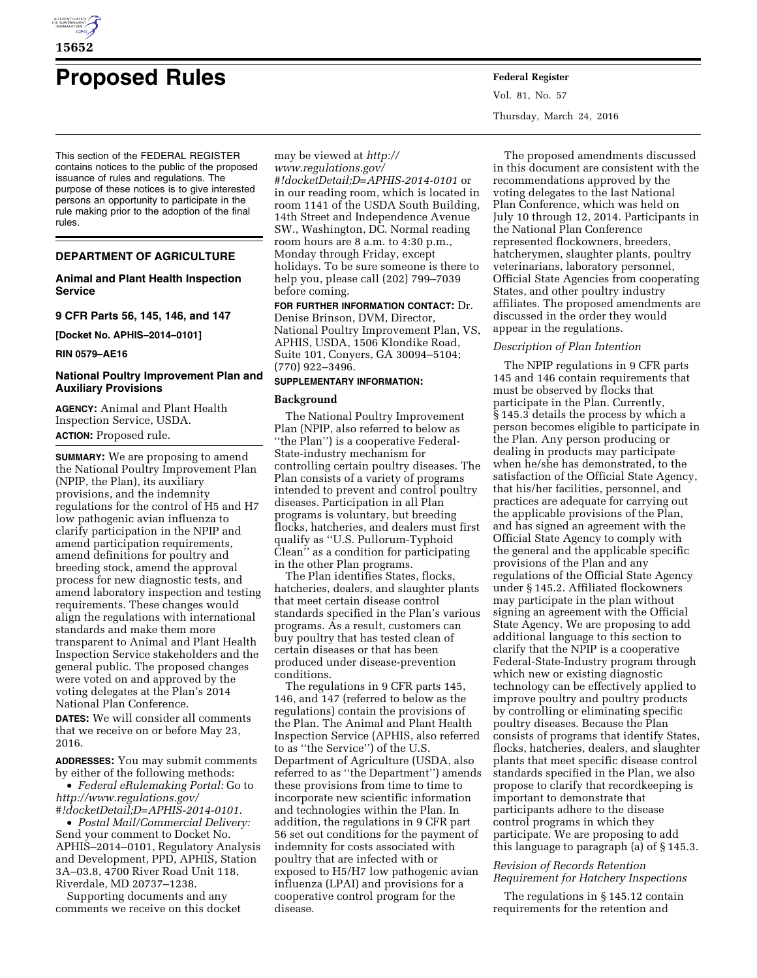

# **Proposed Rules Federal Register**

This section of the FEDERAL REGISTER contains notices to the public of the proposed issuance of rules and regulations. The purpose of these notices is to give interested persons an opportunity to participate in the rule making prior to the adoption of the final rules.

# **DEPARTMENT OF AGRICULTURE**

# **Animal and Plant Health Inspection Service**

**9 CFR Parts 56, 145, 146, and 147** 

**[Docket No. APHIS–2014–0101]** 

**RIN 0579–AE16** 

# **National Poultry Improvement Plan and Auxiliary Provisions**

**AGENCY:** Animal and Plant Health Inspection Service, USDA. **ACTION:** Proposed rule.

**SUMMARY:** We are proposing to amend the National Poultry Improvement Plan (NPIP, the Plan), its auxiliary provisions, and the indemnity regulations for the control of H5 and H7 low pathogenic avian influenza to clarify participation in the NPIP and amend participation requirements, amend definitions for poultry and breeding stock, amend the approval process for new diagnostic tests, and amend laboratory inspection and testing requirements. These changes would align the regulations with international standards and make them more transparent to Animal and Plant Health Inspection Service stakeholders and the general public. The proposed changes were voted on and approved by the voting delegates at the Plan's 2014 National Plan Conference.

**DATES:** We will consider all comments that we receive on or before May 23, 2016.

**ADDRESSES:** You may submit comments by either of the following methods:

• *Federal eRulemaking Portal:* Go to *[http://www.regulations.gov/](http://www.regulations.gov/#!docketDetail;D=APHIS-2014-0101) [#!docketDetail;D=APHIS-2014-0101.](http://www.regulations.gov/#!docketDetail;D=APHIS-2014-0101)* 

• *Postal Mail/Commercial Delivery:*  Send your comment to Docket No. APHIS–2014–0101, Regulatory Analysis and Development, PPD, APHIS, Station 3A–03.8, 4700 River Road Unit 118, Riverdale, MD 20737–1238.

Supporting documents and any comments we receive on this docket

## may be viewed at *[http://](http://www.regulations.gov/#!docketDetail;D=APHIS-2014-0101) [www.regulations.gov/](http://www.regulations.gov/#!docketDetail;D=APHIS-2014-0101)*

*[#!docketDetail;D=APHIS-2014-0101](http://www.regulations.gov/#!docketDetail;D=APHIS-2014-0101)* or in our reading room, which is located in room 1141 of the USDA South Building, 14th Street and Independence Avenue SW., Washington, DC. Normal reading room hours are 8 a.m. to 4:30 p.m., Monday through Friday, except holidays. To be sure someone is there to help you, please call (202) 799–7039 before coming.

**FOR FURTHER INFORMATION CONTACT:** Dr. Denise Brinson, DVM, Director, National Poultry Improvement Plan, VS, APHIS, USDA, 1506 Klondike Road, Suite 101, Conyers, GA 30094–5104; (770) 922–3496.

## **SUPPLEMENTARY INFORMATION:**

# **Background**

The National Poultry Improvement Plan (NPIP, also referred to below as ''the Plan'') is a cooperative Federal-State-industry mechanism for controlling certain poultry diseases. The Plan consists of a variety of programs intended to prevent and control poultry diseases. Participation in all Plan programs is voluntary, but breeding flocks, hatcheries, and dealers must first qualify as ''U.S. Pullorum-Typhoid Clean'' as a condition for participating in the other Plan programs.

The Plan identifies States, flocks, hatcheries, dealers, and slaughter plants that meet certain disease control standards specified in the Plan's various programs. As a result, customers can buy poultry that has tested clean of certain diseases or that has been produced under disease-prevention conditions.

The regulations in 9 CFR parts 145, 146, and 147 (referred to below as the regulations) contain the provisions of the Plan. The Animal and Plant Health Inspection Service (APHIS, also referred to as ''the Service'') of the U.S. Department of Agriculture (USDA, also referred to as ''the Department'') amends these provisions from time to time to incorporate new scientific information and technologies within the Plan. In addition, the regulations in 9 CFR part 56 set out conditions for the payment of indemnity for costs associated with poultry that are infected with or exposed to H5/H7 low pathogenic avian influenza (LPAI) and provisions for a cooperative control program for the disease.

Vol. 81, No. 57 Thursday, March 24, 2016

The proposed amendments discussed in this document are consistent with the recommendations approved by the voting delegates to the last National Plan Conference, which was held on July 10 through 12, 2014. Participants in the National Plan Conference represented flockowners, breeders, hatcherymen, slaughter plants, poultry veterinarians, laboratory personnel, Official State Agencies from cooperating States, and other poultry industry affiliates. The proposed amendments are discussed in the order they would appear in the regulations.

## *Description of Plan Intention*

The NPIP regulations in 9 CFR parts 145 and 146 contain requirements that must be observed by flocks that participate in the Plan. Currently, § 145.3 details the process by which a person becomes eligible to participate in the Plan. Any person producing or dealing in products may participate when he/she has demonstrated, to the satisfaction of the Official State Agency, that his/her facilities, personnel, and practices are adequate for carrying out the applicable provisions of the Plan, and has signed an agreement with the Official State Agency to comply with the general and the applicable specific provisions of the Plan and any regulations of the Official State Agency under § 145.2. Affiliated flockowners may participate in the plan without signing an agreement with the Official State Agency. We are proposing to add additional language to this section to clarify that the NPIP is a cooperative Federal-State-Industry program through which new or existing diagnostic technology can be effectively applied to improve poultry and poultry products by controlling or eliminating specific poultry diseases. Because the Plan consists of programs that identify States, flocks, hatcheries, dealers, and slaughter plants that meet specific disease control standards specified in the Plan, we also propose to clarify that recordkeeping is important to demonstrate that participants adhere to the disease control programs in which they participate. We are proposing to add this language to paragraph (a) of § 145.3.

## *Revision of Records Retention Requirement for Hatchery Inspections*

The regulations in § 145.12 contain requirements for the retention and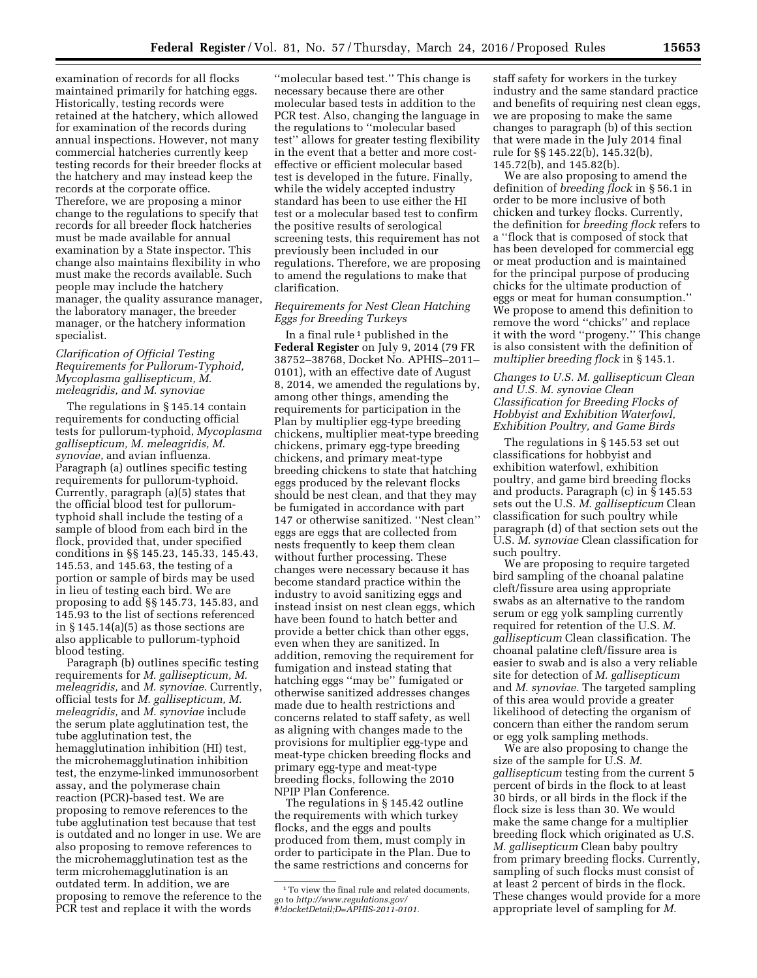examination of records for all flocks maintained primarily for hatching eggs. Historically, testing records were retained at the hatchery, which allowed for examination of the records during annual inspections. However, not many commercial hatcheries currently keep testing records for their breeder flocks at the hatchery and may instead keep the records at the corporate office. Therefore, we are proposing a minor change to the regulations to specify that records for all breeder flock hatcheries must be made available for annual examination by a State inspector. This change also maintains flexibility in who must make the records available. Such people may include the hatchery manager, the quality assurance manager, the laboratory manager, the breeder manager, or the hatchery information specialist.

# *Clarification of Official Testing Requirements for Pullorum-Typhoid, Mycoplasma gallisepticum, M. meleagridis, and M. synoviae*

The regulations in § 145.14 contain requirements for conducting official tests for pullorum-typhoid, *Mycoplasma gallisepticum, M. meleagridis, M. synoviae,* and avian influenza. Paragraph (a) outlines specific testing requirements for pullorum-typhoid. Currently, paragraph (a)(5) states that the official blood test for pullorumtyphoid shall include the testing of a sample of blood from each bird in the flock, provided that, under specified conditions in §§ 145.23, 145.33, 145.43, 145.53, and 145.63, the testing of a portion or sample of birds may be used in lieu of testing each bird. We are proposing to add §§ 145.73, 145.83, and 145.93 to the list of sections referenced in § 145.14(a)(5) as those sections are also applicable to pullorum-typhoid blood testing.

Paragraph (b) outlines specific testing requirements for *M. gallisepticum, M. meleagridis,* and *M. synoviae.* Currently, official tests for *M. gallisepticum, M. meleagridis,* and *M. synoviae* include the serum plate agglutination test, the tube agglutination test, the hemagglutination inhibition (HI) test, the microhemagglutination inhibition test, the enzyme-linked immunosorbent assay, and the polymerase chain reaction (PCR)-based test. We are proposing to remove references to the tube agglutination test because that test is outdated and no longer in use. We are also proposing to remove references to the microhemagglutination test as the term microhemagglutination is an outdated term. In addition, we are proposing to remove the reference to the PCR test and replace it with the words

''molecular based test.'' This change is necessary because there are other molecular based tests in addition to the PCR test. Also, changing the language in the regulations to ''molecular based test'' allows for greater testing flexibility in the event that a better and more costeffective or efficient molecular based test is developed in the future. Finally, while the widely accepted industry standard has been to use either the HI test or a molecular based test to confirm the positive results of serological screening tests, this requirement has not previously been included in our regulations. Therefore, we are proposing to amend the regulations to make that clarification.

# *Requirements for Nest Clean Hatching Eggs for Breeding Turkeys*

In a final rule  $1$  published in the **Federal Register** on July 9, 2014 (79 FR 38752–38768, Docket No. APHIS–2011– 0101), with an effective date of August 8, 2014, we amended the regulations by, among other things, amending the requirements for participation in the Plan by multiplier egg-type breeding chickens, multiplier meat-type breeding chickens, primary egg-type breeding chickens, and primary meat-type breeding chickens to state that hatching eggs produced by the relevant flocks should be nest clean, and that they may be fumigated in accordance with part 147 or otherwise sanitized. ''Nest clean'' eggs are eggs that are collected from nests frequently to keep them clean without further processing. These changes were necessary because it has become standard practice within the industry to avoid sanitizing eggs and instead insist on nest clean eggs, which have been found to hatch better and provide a better chick than other eggs, even when they are sanitized. In addition, removing the requirement for fumigation and instead stating that hatching eggs ''may be'' fumigated or otherwise sanitized addresses changes made due to health restrictions and concerns related to staff safety, as well as aligning with changes made to the provisions for multiplier egg-type and meat-type chicken breeding flocks and primary egg-type and meat-type breeding flocks, following the 2010 NPIP Plan Conference.

The regulations in § 145.42 outline the requirements with which turkey flocks, and the eggs and poults produced from them, must comply in order to participate in the Plan. Due to the same restrictions and concerns for

staff safety for workers in the turkey industry and the same standard practice and benefits of requiring nest clean eggs, we are proposing to make the same changes to paragraph (b) of this section that were made in the July 2014 final rule for §§ 145.22(b), 145.32(b), 145.72(b), and 145.82(b).

We are also proposing to amend the definition of *breeding flock* in § 56.1 in order to be more inclusive of both chicken and turkey flocks. Currently, the definition for *breeding flock* refers to a ''flock that is composed of stock that has been developed for commercial egg or meat production and is maintained for the principal purpose of producing chicks for the ultimate production of eggs or meat for human consumption.'' We propose to amend this definition to remove the word ''chicks'' and replace it with the word ''progeny.'' This change is also consistent with the definition of *multiplier breeding flock* in § 145.1.

## *Changes to U.S. M. gallisepticum Clean and U.S. M. synoviae Clean Classification for Breeding Flocks of Hobbyist and Exhibition Waterfowl, Exhibition Poultry, and Game Birds*

The regulations in § 145.53 set out classifications for hobbyist and exhibition waterfowl, exhibition poultry, and game bird breeding flocks and products. Paragraph (c) in § 145.53 sets out the U.S. *M. gallisepticum* Clean classification for such poultry while paragraph (d) of that section sets out the U.S. *M. synoviae* Clean classification for such poultry.

We are proposing to require targeted bird sampling of the choanal palatine cleft/fissure area using appropriate swabs as an alternative to the random serum or egg yolk sampling currently required for retention of the U.S. *M. gallisepticum* Clean classification. The choanal palatine cleft/fissure area is easier to swab and is also a very reliable site for detection of *M. gallisepticum*  and *M. synoviae.* The targeted sampling of this area would provide a greater likelihood of detecting the organism of concern than either the random serum or egg yolk sampling methods.

We are also proposing to change the size of the sample for U.S. *M. gallisepticum* testing from the current 5 percent of birds in the flock to at least 30 birds, or all birds in the flock if the flock size is less than 30. We would make the same change for a multiplier breeding flock which originated as U.S. *M. gallisepticum* Clean baby poultry from primary breeding flocks. Currently, sampling of such flocks must consist of at least 2 percent of birds in the flock. These changes would provide for a more appropriate level of sampling for *M.* 

<sup>&</sup>lt;sup>1</sup> To view the final rule and related documents, go to *[http://www.regulations.gov/](http://www.regulations.gov/#!docketDetail;D=APHIS-2011-0101) [#!docketDetail;D=APHIS-2011-0101.](http://www.regulations.gov/#!docketDetail;D=APHIS-2011-0101)*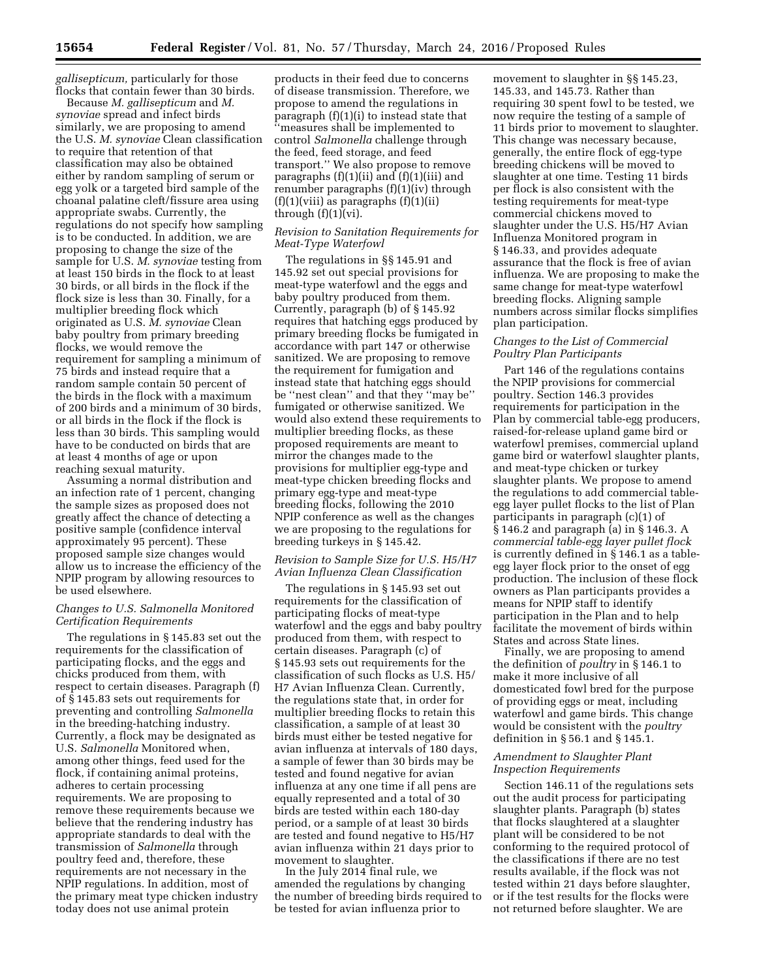*gallisepticum,* particularly for those flocks that contain fewer than 30 birds.

Because *M. gallisepticum* and *M. synoviae* spread and infect birds similarly, we are proposing to amend the U.S. *M. synoviae* Clean classification to require that retention of that classification may also be obtained either by random sampling of serum or egg yolk or a targeted bird sample of the choanal palatine cleft/fissure area using appropriate swabs. Currently, the regulations do not specify how sampling is to be conducted. In addition, we are proposing to change the size of the sample for U.S. *M. synoviae* testing from at least 150 birds in the flock to at least 30 birds, or all birds in the flock if the flock size is less than 30. Finally, for a multiplier breeding flock which originated as U.S. *M. synoviae* Clean baby poultry from primary breeding flocks, we would remove the requirement for sampling a minimum of 75 birds and instead require that a random sample contain 50 percent of the birds in the flock with a maximum of 200 birds and a minimum of 30 birds, or all birds in the flock if the flock is less than 30 birds. This sampling would have to be conducted on birds that are at least 4 months of age or upon reaching sexual maturity.

Assuming a normal distribution and an infection rate of 1 percent, changing the sample sizes as proposed does not greatly affect the chance of detecting a positive sample (confidence interval approximately 95 percent). These proposed sample size changes would allow us to increase the efficiency of the NPIP program by allowing resources to be used elsewhere.

## *Changes to U.S. Salmonella Monitored Certification Requirements*

The regulations in § 145.83 set out the requirements for the classification of participating flocks, and the eggs and chicks produced from them, with respect to certain diseases. Paragraph (f) of § 145.83 sets out requirements for preventing and controlling *Salmonella*  in the breeding-hatching industry. Currently, a flock may be designated as U.S. *Salmonella* Monitored when, among other things, feed used for the flock, if containing animal proteins, adheres to certain processing requirements. We are proposing to remove these requirements because we believe that the rendering industry has appropriate standards to deal with the transmission of *Salmonella* through poultry feed and, therefore, these requirements are not necessary in the NPIP regulations. In addition, most of the primary meat type chicken industry today does not use animal protein

products in their feed due to concerns of disease transmission. Therefore, we propose to amend the regulations in paragraph (f)(1)(i) to instead state that ''measures shall be implemented to control *Salmonella* challenge through the feed, feed storage, and feed transport.'' We also propose to remove paragraphs (f)(1)(ii) and (f)(1)(iii) and renumber paragraphs (f)(1)(iv) through  $(f)(1)(viii)$  as paragraphs  $(f)(1)(ii)$ through  $(f)(1)(vi)$ .

## *Revision to Sanitation Requirements for Meat-Type Waterfowl*

The regulations in §§ 145.91 and 145.92 set out special provisions for meat-type waterfowl and the eggs and baby poultry produced from them. Currently, paragraph (b) of § 145.92 requires that hatching eggs produced by primary breeding flocks be fumigated in accordance with part 147 or otherwise sanitized. We are proposing to remove the requirement for fumigation and instead state that hatching eggs should be ''nest clean'' and that they ''may be'' fumigated or otherwise sanitized. We would also extend these requirements to multiplier breeding flocks, as these proposed requirements are meant to mirror the changes made to the provisions for multiplier egg-type and meat-type chicken breeding flocks and primary egg-type and meat-type breeding flocks, following the 2010 NPIP conference as well as the changes we are proposing to the regulations for breeding turkeys in § 145.42.

## *Revision to Sample Size for U.S. H5/H7 Avian Influenza Clean Classification*

The regulations in § 145.93 set out requirements for the classification of participating flocks of meat-type waterfowl and the eggs and baby poultry produced from them, with respect to certain diseases. Paragraph (c) of § 145.93 sets out requirements for the classification of such flocks as U.S. H5/ H7 Avian Influenza Clean. Currently, the regulations state that, in order for multiplier breeding flocks to retain this classification, a sample of at least 30 birds must either be tested negative for avian influenza at intervals of 180 days, a sample of fewer than 30 birds may be tested and found negative for avian influenza at any one time if all pens are equally represented and a total of 30 birds are tested within each 180-day period, or a sample of at least 30 birds are tested and found negative to H5/H7 avian influenza within 21 days prior to movement to slaughter.

In the July 2014 final rule, we amended the regulations by changing the number of breeding birds required to be tested for avian influenza prior to

movement to slaughter in §§ 145.23, 145.33, and 145.73. Rather than requiring 30 spent fowl to be tested, we now require the testing of a sample of 11 birds prior to movement to slaughter. This change was necessary because, generally, the entire flock of egg-type breeding chickens will be moved to slaughter at one time. Testing 11 birds per flock is also consistent with the testing requirements for meat-type commercial chickens moved to slaughter under the U.S. H5/H7 Avian Influenza Monitored program in § 146.33, and provides adequate assurance that the flock is free of avian influenza. We are proposing to make the same change for meat-type waterfowl breeding flocks. Aligning sample numbers across similar flocks simplifies plan participation.

## *Changes to the List of Commercial Poultry Plan Participants*

Part 146 of the regulations contains the NPIP provisions for commercial poultry. Section 146.3 provides requirements for participation in the Plan by commercial table-egg producers, raised-for-release upland game bird or waterfowl premises, commercial upland game bird or waterfowl slaughter plants, and meat-type chicken or turkey slaughter plants. We propose to amend the regulations to add commercial tableegg layer pullet flocks to the list of Plan participants in paragraph (c)(1) of § 146.2 and paragraph (a) in § 146.3. A *commercial table-egg layer pullet flock*  is currently defined in § 146.1 as a tableegg layer flock prior to the onset of egg production. The inclusion of these flock owners as Plan participants provides a means for NPIP staff to identify participation in the Plan and to help facilitate the movement of birds within States and across State lines.

Finally, we are proposing to amend the definition of *poultry* in § 146.1 to make it more inclusive of all domesticated fowl bred for the purpose of providing eggs or meat, including waterfowl and game birds. This change would be consistent with the *poultry*  definition in § 56.1 and § 145.1.

## *Amendment to Slaughter Plant Inspection Requirements*

Section 146.11 of the regulations sets out the audit process for participating slaughter plants. Paragraph (b) states that flocks slaughtered at a slaughter plant will be considered to be not conforming to the required protocol of the classifications if there are no test results available, if the flock was not tested within 21 days before slaughter, or if the test results for the flocks were not returned before slaughter. We are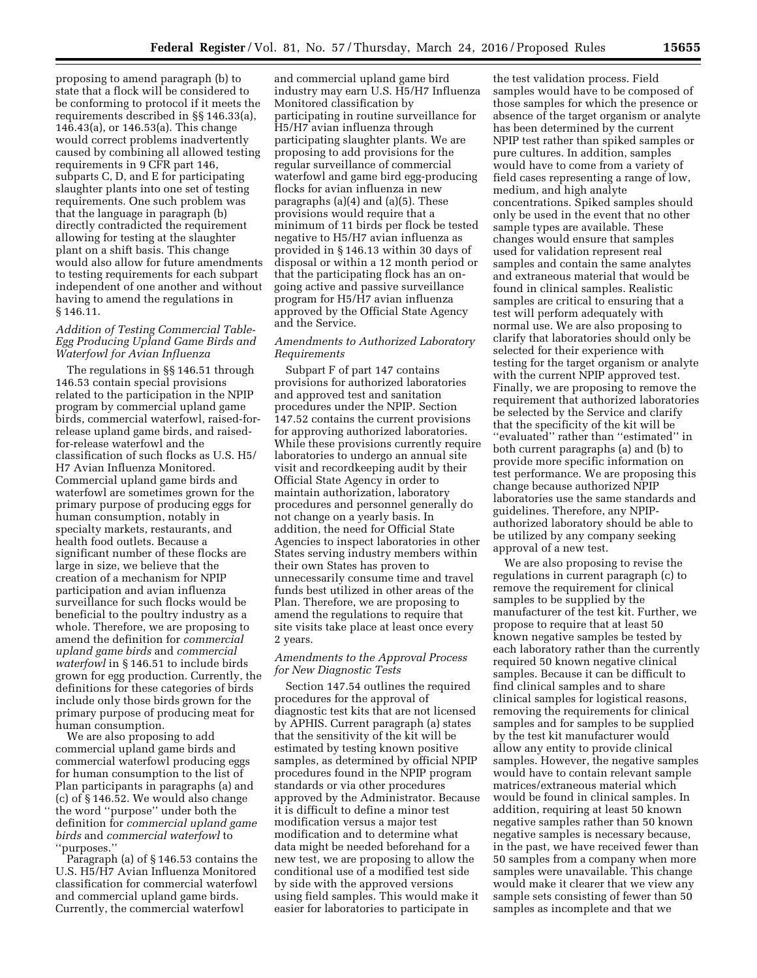proposing to amend paragraph (b) to state that a flock will be considered to be conforming to protocol if it meets the requirements described in §§ 146.33(a), 146.43(a), or 146.53(a). This change would correct problems inadvertently caused by combining all allowed testing requirements in 9 CFR part 146, subparts C, D, and E for participating slaughter plants into one set of testing requirements. One such problem was that the language in paragraph (b) directly contradicted the requirement allowing for testing at the slaughter plant on a shift basis. This change would also allow for future amendments to testing requirements for each subpart independent of one another and without having to amend the regulations in § 146.11.

## *Addition of Testing Commercial Table-Egg Producing Upland Game Birds and Waterfowl for Avian Influenza*

The regulations in §§ 146.51 through 146.53 contain special provisions related to the participation in the NPIP program by commercial upland game birds, commercial waterfowl, raised-forrelease upland game birds, and raisedfor-release waterfowl and the classification of such flocks as U.S. H5/ H7 Avian Influenza Monitored. Commercial upland game birds and waterfowl are sometimes grown for the primary purpose of producing eggs for human consumption, notably in specialty markets, restaurants, and health food outlets. Because a significant number of these flocks are large in size, we believe that the creation of a mechanism for NPIP participation and avian influenza surveillance for such flocks would be beneficial to the poultry industry as a whole. Therefore, we are proposing to amend the definition for *commercial upland game birds* and *commercial waterfowl* in § 146.51 to include birds grown for egg production. Currently, the definitions for these categories of birds include only those birds grown for the primary purpose of producing meat for human consumption.

We are also proposing to add commercial upland game birds and commercial waterfowl producing eggs for human consumption to the list of Plan participants in paragraphs (a) and (c) of § 146.52. We would also change the word ''purpose'' under both the definition for *commercial upland game birds* and *commercial waterfowl* to ''purposes.''

Paragraph (a) of § 146.53 contains the U.S. H5/H7 Avian Influenza Monitored classification for commercial waterfowl and commercial upland game birds. Currently, the commercial waterfowl

and commercial upland game bird industry may earn U.S. H5/H7 Influenza Monitored classification by participating in routine surveillance for H5/H7 avian influenza through participating slaughter plants. We are proposing to add provisions for the regular surveillance of commercial waterfowl and game bird egg-producing flocks for avian influenza in new paragraphs (a)(4) and (a)(5). These provisions would require that a minimum of 11 birds per flock be tested negative to H5/H7 avian influenza as provided in § 146.13 within 30 days of disposal or within a 12 month period or that the participating flock has an ongoing active and passive surveillance program for H5/H7 avian influenza approved by the Official State Agency and the Service.

# *Amendments to Authorized Laboratory Requirements*

Subpart F of part 147 contains provisions for authorized laboratories and approved test and sanitation procedures under the NPIP. Section 147.52 contains the current provisions for approving authorized laboratories. While these provisions currently require laboratories to undergo an annual site visit and recordkeeping audit by their Official State Agency in order to maintain authorization, laboratory procedures and personnel generally do not change on a yearly basis. In addition, the need for Official State Agencies to inspect laboratories in other States serving industry members within their own States has proven to unnecessarily consume time and travel funds best utilized in other areas of the Plan. Therefore, we are proposing to amend the regulations to require that site visits take place at least once every 2 years.

# *Amendments to the Approval Process for New Diagnostic Tests*

Section 147.54 outlines the required procedures for the approval of diagnostic test kits that are not licensed by APHIS. Current paragraph (a) states that the sensitivity of the kit will be estimated by testing known positive samples, as determined by official NPIP procedures found in the NPIP program standards or via other procedures approved by the Administrator. Because it is difficult to define a minor test modification versus a major test modification and to determine what data might be needed beforehand for a new test, we are proposing to allow the conditional use of a modified test side by side with the approved versions using field samples. This would make it easier for laboratories to participate in

the test validation process. Field samples would have to be composed of those samples for which the presence or absence of the target organism or analyte has been determined by the current NPIP test rather than spiked samples or pure cultures. In addition, samples would have to come from a variety of field cases representing a range of low, medium, and high analyte concentrations. Spiked samples should only be used in the event that no other sample types are available. These changes would ensure that samples used for validation represent real samples and contain the same analytes and extraneous material that would be found in clinical samples. Realistic samples are critical to ensuring that a test will perform adequately with normal use. We are also proposing to clarify that laboratories should only be selected for their experience with testing for the target organism or analyte with the current NPIP approved test. Finally, we are proposing to remove the requirement that authorized laboratories be selected by the Service and clarify that the specificity of the kit will be ''evaluated'' rather than ''estimated'' in both current paragraphs (a) and (b) to provide more specific information on test performance. We are proposing this change because authorized NPIP laboratories use the same standards and guidelines. Therefore, any NPIPauthorized laboratory should be able to be utilized by any company seeking approval of a new test.

We are also proposing to revise the regulations in current paragraph (c) to remove the requirement for clinical samples to be supplied by the manufacturer of the test kit. Further, we propose to require that at least 50 known negative samples be tested by each laboratory rather than the currently required 50 known negative clinical samples. Because it can be difficult to find clinical samples and to share clinical samples for logistical reasons, removing the requirements for clinical samples and for samples to be supplied by the test kit manufacturer would allow any entity to provide clinical samples. However, the negative samples would have to contain relevant sample matrices/extraneous material which would be found in clinical samples. In addition, requiring at least 50 known negative samples rather than 50 known negative samples is necessary because, in the past, we have received fewer than 50 samples from a company when more samples were unavailable. This change would make it clearer that we view any sample sets consisting of fewer than 50 samples as incomplete and that we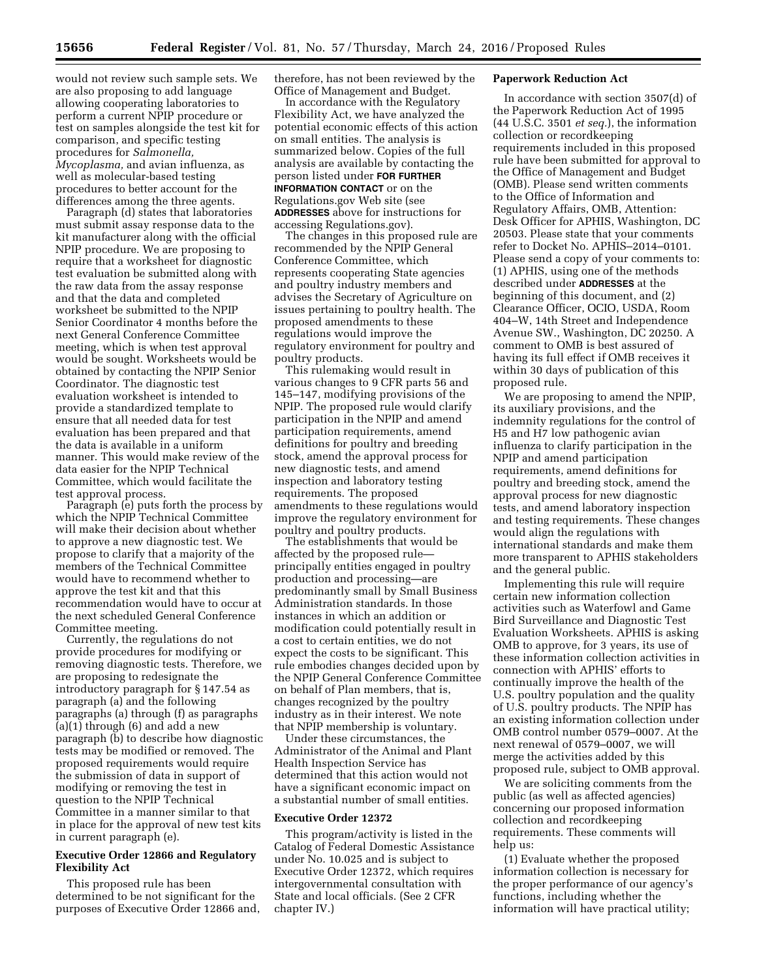would not review such sample sets. We are also proposing to add language allowing cooperating laboratories to perform a current NPIP procedure or test on samples alongside the test kit for comparison, and specific testing procedures for *Salmonella, Mycoplasma,* and avian influenza, as well as molecular-based testing procedures to better account for the differences among the three agents.

Paragraph (d) states that laboratories must submit assay response data to the kit manufacturer along with the official NPIP procedure. We are proposing to require that a worksheet for diagnostic test evaluation be submitted along with the raw data from the assay response and that the data and completed worksheet be submitted to the NPIP Senior Coordinator 4 months before the next General Conference Committee meeting, which is when test approval would be sought. Worksheets would be obtained by contacting the NPIP Senior Coordinator. The diagnostic test evaluation worksheet is intended to provide a standardized template to ensure that all needed data for test evaluation has been prepared and that the data is available in a uniform manner. This would make review of the data easier for the NPIP Technical Committee, which would facilitate the test approval process.

Paragraph (e) puts forth the process by which the NPIP Technical Committee will make their decision about whether to approve a new diagnostic test. We propose to clarify that a majority of the members of the Technical Committee would have to recommend whether to approve the test kit and that this recommendation would have to occur at the next scheduled General Conference Committee meeting.

Currently, the regulations do not provide procedures for modifying or removing diagnostic tests. Therefore, we are proposing to redesignate the introductory paragraph for § 147.54 as paragraph (a) and the following paragraphs (a) through (f) as paragraphs (a)(1) through (6) and add a new paragraph (b) to describe how diagnostic tests may be modified or removed. The proposed requirements would require the submission of data in support of modifying or removing the test in question to the NPIP Technical Committee in a manner similar to that in place for the approval of new test kits in current paragraph (e).

## **Executive Order 12866 and Regulatory Flexibility Act**

This proposed rule has been determined to be not significant for the purposes of Executive Order 12866 and, therefore, has not been reviewed by the Office of Management and Budget.

In accordance with the Regulatory Flexibility Act, we have analyzed the potential economic effects of this action on small entities. The analysis is summarized below. Copies of the full analysis are available by contacting the person listed under **FOR FURTHER INFORMATION CONTACT** or on the Regulations.gov Web site (see **ADDRESSES** above for instructions for accessing Regulations.gov).

The changes in this proposed rule are recommended by the NPIP General Conference Committee, which represents cooperating State agencies and poultry industry members and advises the Secretary of Agriculture on issues pertaining to poultry health. The proposed amendments to these regulations would improve the regulatory environment for poultry and poultry products.

This rulemaking would result in various changes to 9 CFR parts 56 and 145–147, modifying provisions of the NPIP. The proposed rule would clarify participation in the NPIP and amend participation requirements, amend definitions for poultry and breeding stock, amend the approval process for new diagnostic tests, and amend inspection and laboratory testing requirements. The proposed amendments to these regulations would improve the regulatory environment for poultry and poultry products.

The establishments that would be affected by the proposed rule principally entities engaged in poultry production and processing—are predominantly small by Small Business Administration standards. In those instances in which an addition or modification could potentially result in a cost to certain entities, we do not expect the costs to be significant. This rule embodies changes decided upon by the NPIP General Conference Committee on behalf of Plan members, that is, changes recognized by the poultry industry as in their interest. We note that NPIP membership is voluntary.

Under these circumstances, the Administrator of the Animal and Plant Health Inspection Service has determined that this action would not have a significant economic impact on a substantial number of small entities.

## **Executive Order 12372**

This program/activity is listed in the Catalog of Federal Domestic Assistance under No. 10.025 and is subject to Executive Order 12372, which requires intergovernmental consultation with State and local officials. (See 2 CFR chapter IV.)

## **Paperwork Reduction Act**

In accordance with section 3507(d) of the Paperwork Reduction Act of 1995 (44 U.S.C. 3501 *et seq.*), the information collection or recordkeeping requirements included in this proposed rule have been submitted for approval to the Office of Management and Budget (OMB). Please send written comments to the Office of Information and Regulatory Affairs, OMB, Attention: Desk Officer for APHIS, Washington, DC 20503. Please state that your comments refer to Docket No. APHIS–2014–0101. Please send a copy of your comments to: (1) APHIS, using one of the methods described under **ADDRESSES** at the beginning of this document, and (2) Clearance Officer, OCIO, USDA, Room 404–W, 14th Street and Independence Avenue SW., Washington, DC 20250. A comment to OMB is best assured of having its full effect if OMB receives it within 30 days of publication of this proposed rule.

We are proposing to amend the NPIP, its auxiliary provisions, and the indemnity regulations for the control of H5 and H7 low pathogenic avian influenza to clarify participation in the NPIP and amend participation requirements, amend definitions for poultry and breeding stock, amend the approval process for new diagnostic tests, and amend laboratory inspection and testing requirements. These changes would align the regulations with international standards and make them more transparent to APHIS stakeholders and the general public.

Implementing this rule will require certain new information collection activities such as Waterfowl and Game Bird Surveillance and Diagnostic Test Evaluation Worksheets. APHIS is asking OMB to approve, for 3 years, its use of these information collection activities in connection with APHIS' efforts to continually improve the health of the U.S. poultry population and the quality of U.S. poultry products. The NPIP has an existing information collection under OMB control number 0579–0007. At the next renewal of 0579–0007, we will merge the activities added by this proposed rule, subject to OMB approval.

We are soliciting comments from the public (as well as affected agencies) concerning our proposed information collection and recordkeeping requirements. These comments will help us:

(1) Evaluate whether the proposed information collection is necessary for the proper performance of our agency's functions, including whether the information will have practical utility;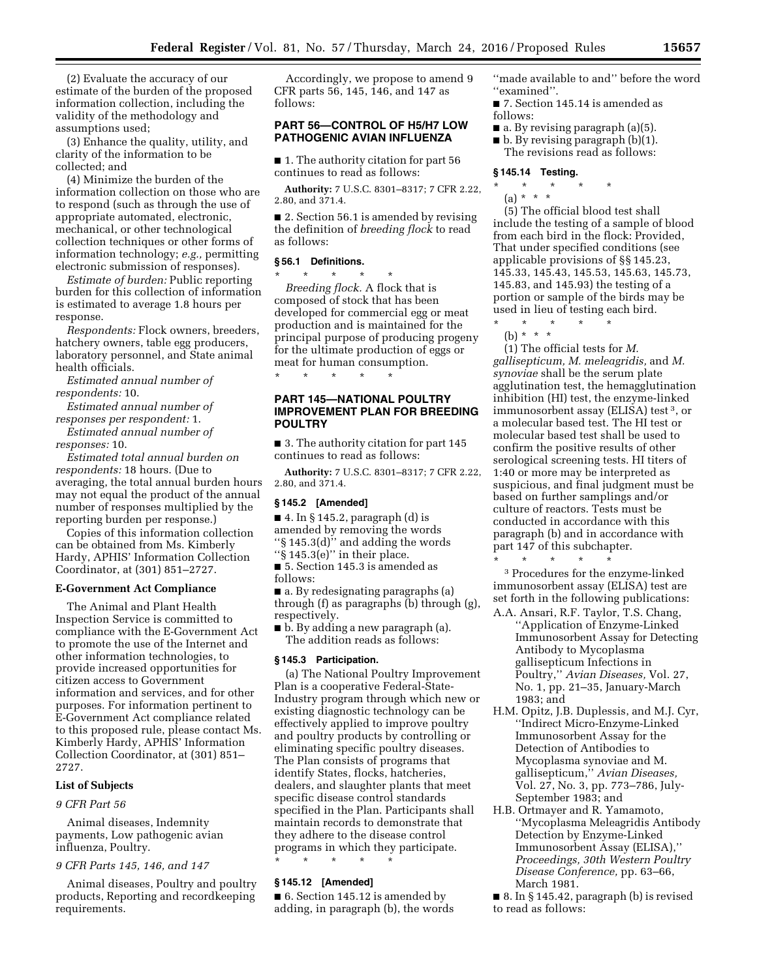(2) Evaluate the accuracy of our estimate of the burden of the proposed information collection, including the validity of the methodology and assumptions used;

(3) Enhance the quality, utility, and clarity of the information to be collected; and

(4) Minimize the burden of the information collection on those who are to respond (such as through the use of appropriate automated, electronic, mechanical, or other technological collection techniques or other forms of information technology; *e.g.,* permitting electronic submission of responses).

*Estimate of burden:* Public reporting burden for this collection of information is estimated to average 1.8 hours per response.

*Respondents:* Flock owners, breeders, hatchery owners, table egg producers, laboratory personnel, and State animal health officials.

*Estimated annual number of respondents:* 10.

*Estimated annual number of* 

*responses per respondent:* 1. *Estimated annual number of* 

*responses:* 10.

*Estimated total annual burden on respondents:* 18 hours. (Due to averaging, the total annual burden hours may not equal the product of the annual number of responses multiplied by the reporting burden per response.)

Copies of this information collection can be obtained from Ms. Kimberly Hardy, APHIS' Information Collection Coordinator, at (301) 851–2727.

#### **E-Government Act Compliance**

The Animal and Plant Health Inspection Service is committed to compliance with the E-Government Act to promote the use of the Internet and other information technologies, to provide increased opportunities for citizen access to Government information and services, and for other purposes. For information pertinent to E-Government Act compliance related to this proposed rule, please contact Ms. Kimberly Hardy, APHIS' Information Collection Coordinator, at (301) 851– 2727.

# **List of Subjects**

#### *9 CFR Part 56*

Animal diseases, Indemnity payments, Low pathogenic avian influenza, Poultry.

## *9 CFR Parts 145, 146, and 147*

Animal diseases, Poultry and poultry products, Reporting and recordkeeping requirements.

Accordingly, we propose to amend 9 CFR parts 56, 145, 146, and 147 as follows:

## **PART 56—CONTROL OF H5/H7 LOW PATHOGENIC AVIAN INFLUENZA**

■ 1. The authority citation for part 56 continues to read as follows:

**Authority:** 7 U.S.C. 8301–8317; 7 CFR 2.22, 2.80, and 371.4.

■ 2. Section 56.1 is amended by revising the definition of *breeding flock* to read as follows:

#### **§ 56.1 Definitions.**

\* \* \* \* \*

*Breeding flock.* A flock that is composed of stock that has been developed for commercial egg or meat production and is maintained for the principal purpose of producing progeny for the ultimate production of eggs or meat for human consumption. \* \* \* \* \*

# **PART 145—NATIONAL POULTRY IMPROVEMENT PLAN FOR BREEDING POULTRY**

■ 3. The authority citation for part 145 continues to read as follows:

**Authority:** 7 U.S.C. 8301–8317; 7 CFR 2.22, 2.80, and 371.4.

#### **§ 145.2 [Amended]**

 $\blacksquare$  4. In § 145.2, paragraph (d) is amended by removing the words ''§ 145.3(d)'' and adding the words

''§ 145.3(e)'' in their place.

■ 5. Section 145.3 is amended as follows:

■ a. By redesignating paragraphs (a) through (f) as paragraphs (b) through (g), respectively.

■ b. By adding a new paragraph (a). The addition reads as follows:

### **§ 145.3 Participation.**

(a) The National Poultry Improvement Plan is a cooperative Federal-State-Industry program through which new or existing diagnostic technology can be effectively applied to improve poultry and poultry products by controlling or eliminating specific poultry diseases. The Plan consists of programs that identify States, flocks, hatcheries, dealers, and slaughter plants that meet specific disease control standards specified in the Plan. Participants shall maintain records to demonstrate that they adhere to the disease control programs in which they participate. \* \* \* \* \*

#### **§ 145.12 [Amended]**

■ 6. Section 145.12 is amended by adding, in paragraph (b), the words ''made available to and'' before the word ''examined''.

■ 7. Section 145.14 is amended as follows:

- a. By revising paragraph (a)(5).
- b. By revising paragraph (b)(1). The revisions read as follows:

#### **§ 145.14 Testing.**

- \* \* \* \* \*
	- (a) \* \* \*

(5) The official blood test shall include the testing of a sample of blood from each bird in the flock: Provided, That under specified conditions (see applicable provisions of §§ 145.23, 145.33, 145.43, 145.53, 145.63, 145.73, 145.83, and 145.93) the testing of a portion or sample of the birds may be used in lieu of testing each bird.

- \* \* \* \* \*
	- (b) \* \* \*

(1) The official tests for *M. gallisepticum, M. meleagridis,* and *M. synoviae* shall be the serum plate agglutination test, the hemagglutination inhibition (HI) test, the enzyme-linked immunosorbent assay (ELISA) test 3, or a molecular based test. The HI test or molecular based test shall be used to confirm the positive results of other serological screening tests. HI titers of 1:40 or more may be interpreted as suspicious, and final judgment must be based on further samplings and/or culture of reactors. Tests must be conducted in accordance with this paragraph (b) and in accordance with part 147 of this subchapter.

\* \* \* \* \* 3 Procedures for the enzyme-linked immunosorbent assay (ELISA) test are set forth in the following publications:

- A.A. Ansari, R.F. Taylor, T.S. Chang, ''Application of Enzyme-Linked Immunosorbent Assay for Detecting Antibody to Mycoplasma gallisepticum Infections in Poultry,'' *Avian Diseases,* Vol. 27, No. 1, pp. 21–35, January-March 1983; and
- H.M. Opitz, J.B. Duplessis, and M.J. Cyr, ''Indirect Micro-Enzyme-Linked Immunosorbent Assay for the Detection of Antibodies to Mycoplasma synoviae and M. gallisepticum,'' *Avian Diseases,*  Vol. 27, No. 3, pp. 773–786, July-September 1983; and
- H.B. Ortmayer and R. Yamamoto, ''Mycoplasma Meleagridis Antibody Detection by Enzyme-Linked Immunosorbent Assay (ELISA),'' *Proceedings, 30th Western Poultry Disease Conference,* pp. 63–66, March 1981.
- 8. In § 145.42, paragraph (b) is revised to read as follows: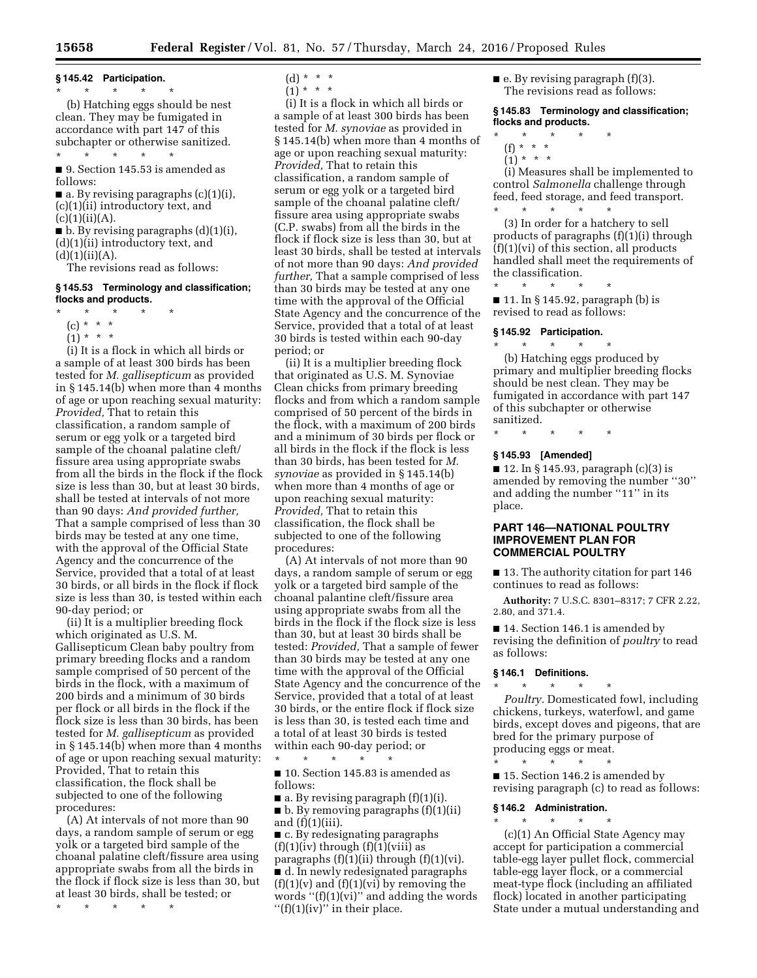**§ 145.42 Participation.**   $\star$   $\star$   $\star$ 

(b) Hatching eggs should be nest clean. They may be fumigated in accordance with part 147 of this subchapter or otherwise sanitized. \* \* \* \* \*

■ 9. Section 145.53 is amended as follows:

 $\blacksquare$  a. By revising paragraphs (c)(1)(i), (c)(1)(ii) introductory text, and  $(c)(1)(ii)(A).$ 

 $\blacksquare$  b. By revising paragraphs  $(d)(1)(i)$ , (d)(1)(ii) introductory text, and  $(d)(1)(ii)(A).$ 

The revisions read as follows:

## **§ 145.53 Terminology and classification; flocks and products.**

- \* \* \* \* \*
	- (c) \* \* \*
	- $(1) * * * *$

(i) It is a flock in which all birds or a sample of at least 300 birds has been tested for *M. gallisepticum* as provided in § 145.14(b) when more than 4 months of age or upon reaching sexual maturity: *Provided,* That to retain this classification, a random sample of serum or egg yolk or a targeted bird sample of the choanal palatine cleft/ fissure area using appropriate swabs from all the birds in the flock if the flock size is less than 30, but at least 30 birds, shall be tested at intervals of not more than 90 days: *And provided further,*  That a sample comprised of less than 30 birds may be tested at any one time, with the approval of the Official State Agency and the concurrence of the Service, provided that a total of at least 30 birds, or all birds in the flock if flock size is less than 30, is tested within each 90-day period; or

(ii) It is a multiplier breeding flock which originated as U.S. M. Gallisepticum Clean baby poultry from primary breeding flocks and a random sample comprised of 50 percent of the birds in the flock, with a maximum of 200 birds and a minimum of 30 birds per flock or all birds in the flock if the flock size is less than 30 birds, has been tested for *M. gallisepticum* as provided in § 145.14(b) when more than 4 months of age or upon reaching sexual maturity: Provided, That to retain this classification, the flock shall be subjected to one of the following procedures:

(A) At intervals of not more than 90 days, a random sample of serum or egg yolk or a targeted bird sample of the choanal palatine cleft/fissure area using appropriate swabs from all the birds in the flock if flock size is less than 30, but at least 30 birds, shall be tested; or

\* \* \* \* \*

- $(d) * * * *$
- $(1) * * * *$

(i) It is a flock in which all birds or a sample of at least 300 birds has been tested for *M. synoviae* as provided in § 145.14(b) when more than 4 months of age or upon reaching sexual maturity: *Provided,* That to retain this classification, a random sample of serum or egg yolk or a targeted bird sample of the choanal palatine cleft/ fissure area using appropriate swabs (C.P. swabs) from all the birds in the flock if flock size is less than 30, but at least 30 birds, shall be tested at intervals of not more than 90 days: *And provided further,* That a sample comprised of less than 30 birds may be tested at any one time with the approval of the Official State Agency and the concurrence of the Service, provided that a total of at least 30 birds is tested within each 90-day period; or

(ii) It is a multiplier breeding flock that originated as U.S. M. Synoviae Clean chicks from primary breeding flocks and from which a random sample comprised of 50 percent of the birds in the flock, with a maximum of 200 birds and a minimum of 30 birds per flock or all birds in the flock if the flock is less than 30 birds, has been tested for *M. synoviae* as provided in § 145.14(b) when more than 4 months of age or upon reaching sexual maturity: *Provided,* That to retain this classification, the flock shall be subjected to one of the following procedures:

(A) At intervals of not more than 90 days, a random sample of serum or egg yolk or a targeted bird sample of the choanal palantine cleft/fissure area using appropriate swabs from all the birds in the flock if the flock size is less than 30, but at least 30 birds shall be tested: *Provided,* That a sample of fewer than 30 birds may be tested at any one time with the approval of the Official State Agency and the concurrence of the Service, provided that a total of at least 30 birds, or the entire flock if flock size is less than 30, is tested each time and a total of at least 30 birds is tested within each 90-day period; or

■ 10. Section 145.83 is amended as follows:

\* \* \* \* \*

 $\blacksquare$  a. By revising paragraph  $(f)(1)(i)$ . ■ b. By removing paragraphs (f)(1)(ii) and  $(f)(1)(iii)$ .

■ c. By redesignating paragraphs  $(f)(1)(iv)$  through  $(f)(1)(viii)$  as paragraphs (f)(1)(ii) through (f)(1)(vi). ■ d. In newly redesignated paragraphs  $(f)(1)(v)$  and  $(f)(1)(vi)$  by removing the words  $''(f)(1)(vi)''$  and adding the words  $''(f)(1)(iv)''$  in their place.

 $\blacksquare$  e. By revising paragraph (f)(3). The revisions read as follows:

**§ 145.83 Terminology and classification; flocks and products.** 

- \* \* \* \* \*
	- (f) \* \* \*
- $(1) * * * *$

(i) Measures shall be implemented to control *Salmonella* challenge through feed, feed storage, and feed transport. \* \* \* \* \*

(3) In order for a hatchery to sell products of paragraphs (f)(1)(i) through  $(f)(1)(vi)$  of this section, all products handled shall meet the requirements of the classification.

\* \* \* \* \*  $\blacksquare$  11. In § 145.92, paragraph (b) is revised to read as follows:

#### **§ 145.92 Participation.**

\* \* \* \* \* (b) Hatching eggs produced by primary and multiplier breeding flocks should be nest clean. They may be fumigated in accordance with part 147 of this subchapter or otherwise sanitized.

\* \* \* \* \*

## **§ 145.93 [Amended]**

 $\blacksquare$  12. In § 145.93, paragraph (c)(3) is amended by removing the number ''30'' and adding the number ''11'' in its place.

## **PART 146—NATIONAL POULTRY IMPROVEMENT PLAN FOR COMMERCIAL POULTRY**

■ 13. The authority citation for part 146 continues to read as follows:

**Authority:** 7 U.S.C. 8301–8317; 7 CFR 2.22, 2.80, and 371.4.

■ 14. Section 146.1 is amended by revising the definition of *poultry* to read as follows:

# **§ 146.1 Definitions.**

\* \* \* \* \* *Poultry.* Domesticated fowl, including chickens, turkeys, waterfowl, and game birds, except doves and pigeons, that are bred for the primary purpose of producing eggs or meat.

\* \* \* \* \* ■ 15. Section 146.2 is amended by revising paragraph (c) to read as follows:

#### **§ 146.2 Administration.**  \* \* \* \* \*

(c)(1) An Official State Agency may accept for participation a commercial table-egg layer pullet flock, commercial table-egg layer flock, or a commercial meat-type flock (including an affiliated flock) located in another participating State under a mutual understanding and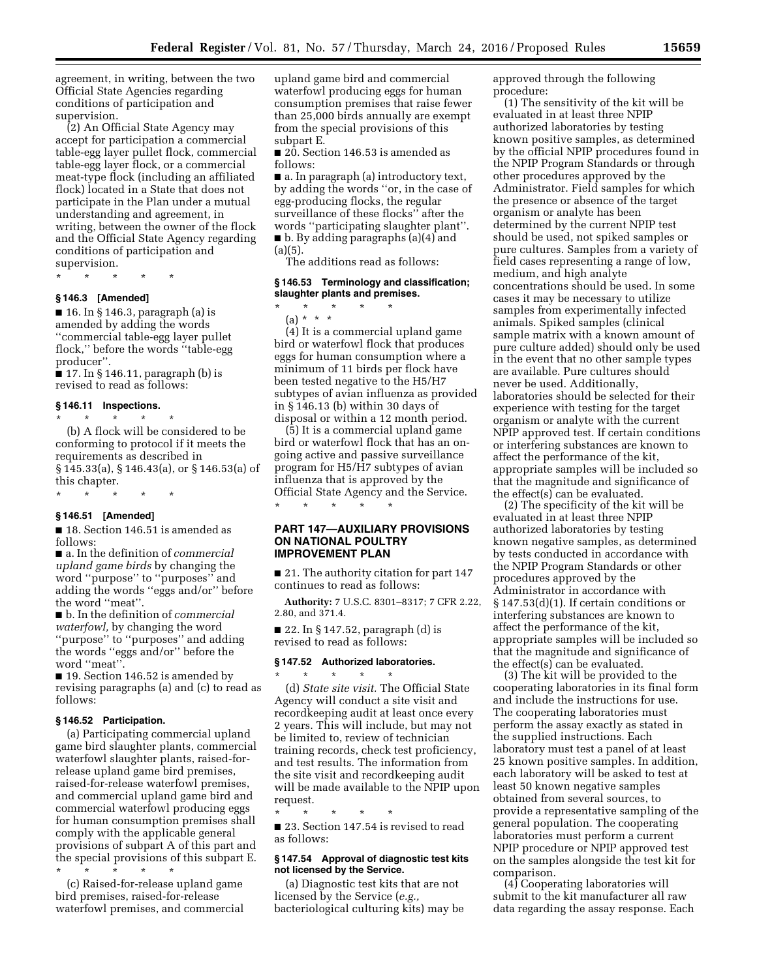agreement, in writing, between the two Official State Agencies regarding conditions of participation and supervision.

(2) An Official State Agency may accept for participation a commercial table-egg layer pullet flock, commercial table-egg layer flock, or a commercial meat-type flock (including an affiliated flock) located in a State that does not participate in the Plan under a mutual understanding and agreement, in writing, between the owner of the flock and the Official State Agency regarding conditions of participation and supervision.

\* \* \* \* \*

#### **§ 146.3 [Amended]**

 $\blacksquare$  16. In § 146.3, paragraph (a) is amended by adding the words ''commercial table-egg layer pullet flock,'' before the words ''table-egg producer''.

■ 17. In § 146.11, paragraph (b) is revised to read as follows:

#### **§ 146.11 Inspections.**

\* \* \* \* \* (b) A flock will be considered to be conforming to protocol if it meets the requirements as described in § 145.33(a), § 146.43(a), or § 146.53(a) of this chapter.

\* \* \* \* \*

# **§ 146.51 [Amended]**

■ 18. Section 146.51 is amended as follows:

■ a. In the definition of *commercial upland game birds* by changing the word ''purpose'' to ''purposes'' and adding the words ''eggs and/or'' before the word ''meat''.

■ b. In the definition of *commercial waterfowl,* by changing the word ''purpose'' to ''purposes'' and adding the words ''eggs and/or'' before the word ''meat''.

■ 19. Section 146.52 is amended by revising paragraphs (a) and (c) to read as follows:

# **§ 146.52 Participation.**

(a) Participating commercial upland game bird slaughter plants, commercial waterfowl slaughter plants, raised-forrelease upland game bird premises, raised-for-release waterfowl premises, and commercial upland game bird and commercial waterfowl producing eggs for human consumption premises shall comply with the applicable general provisions of subpart A of this part and the special provisions of this subpart E. \* \* \* \* \*

(c) Raised-for-release upland game bird premises, raised-for-release waterfowl premises, and commercial upland game bird and commercial waterfowl producing eggs for human consumption premises that raise fewer than 25,000 birds annually are exempt from the special provisions of this subpart E.

■ 20. Section 146.53 is amended as follows:

■ a. In paragraph (a) introductory text, by adding the words ''or, in the case of egg-producing flocks, the regular surveillance of these flocks'' after the words ''participating slaughter plant''. ■ b. By adding paragraphs (a)(4) and  $(a)(5)$ .

The additions read as follows:

## **§ 146.53 Terminology and classification; slaughter plants and premises.**

\* \* \* \* \* (a) \* \* \*

(4) It is a commercial upland game bird or waterfowl flock that produces eggs for human consumption where a minimum of 11 birds per flock have been tested negative to the H5/H7 subtypes of avian influenza as provided in § 146.13 (b) within 30 days of disposal or within a 12 month period.

(5) It is a commercial upland game bird or waterfowl flock that has an ongoing active and passive surveillance program for H5/H7 subtypes of avian influenza that is approved by the Official State Agency and the Service. \* \* \* \* \*

# **PART 147—AUXILIARY PROVISIONS ON NATIONAL POULTRY IMPROVEMENT PLAN**

■ 21. The authority citation for part 147 continues to read as follows:

**Authority:** 7 U.S.C. 8301–8317; 7 CFR 2.22, 2.80, and 371.4.

■ 22. In § 147.52, paragraph (d) is revised to read as follows:

## **§ 147.52 Authorized laboratories.**

\* \* \* \* \*

(d) *State site visit.* The Official State Agency will conduct a site visit and recordkeeping audit at least once every 2 years. This will include, but may not be limited to, review of technician training records, check test proficiency, and test results. The information from the site visit and recordkeeping audit will be made available to the NPIP upon request.

\* \* \* \* \* ■ 23. Section 147.54 is revised to read as follows:

#### **§ 147.54 Approval of diagnostic test kits not licensed by the Service.**

(a) Diagnostic test kits that are not licensed by the Service (*e.g.,*  bacteriological culturing kits) may be approved through the following procedure:

(1) The sensitivity of the kit will be evaluated in at least three NPIP authorized laboratories by testing known positive samples, as determined by the official NPIP procedures found in the NPIP Program Standards or through other procedures approved by the Administrator. Field samples for which the presence or absence of the target organism or analyte has been determined by the current NPIP test should be used, not spiked samples or pure cultures. Samples from a variety of field cases representing a range of low, medium, and high analyte concentrations should be used. In some cases it may be necessary to utilize samples from experimentally infected animals. Spiked samples (clinical sample matrix with a known amount of pure culture added) should only be used in the event that no other sample types are available. Pure cultures should never be used. Additionally, laboratories should be selected for their experience with testing for the target organism or analyte with the current NPIP approved test. If certain conditions or interfering substances are known to affect the performance of the kit, appropriate samples will be included so that the magnitude and significance of the effect(s) can be evaluated.

(2) The specificity of the kit will be evaluated in at least three NPIP authorized laboratories by testing known negative samples, as determined by tests conducted in accordance with the NPIP Program Standards or other procedures approved by the Administrator in accordance with § 147.53(d)(1). If certain conditions or interfering substances are known to affect the performance of the kit, appropriate samples will be included so that the magnitude and significance of the effect(s) can be evaluated.

(3) The kit will be provided to the cooperating laboratories in its final form and include the instructions for use. The cooperating laboratories must perform the assay exactly as stated in the supplied instructions. Each laboratory must test a panel of at least 25 known positive samples. In addition, each laboratory will be asked to test at least 50 known negative samples obtained from several sources, to provide a representative sampling of the general population. The cooperating laboratories must perform a current NPIP procedure or NPIP approved test on the samples alongside the test kit for comparison.

(4) Cooperating laboratories will submit to the kit manufacturer all raw data regarding the assay response. Each